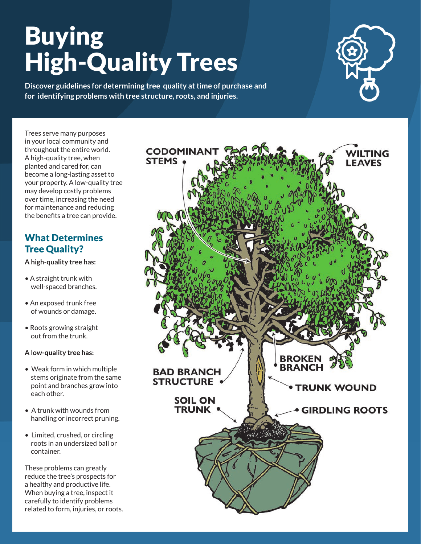# Buying High-Quality Trees

**Discover guidelines for determining tree quality at time of purchase and for identifying problems with tree structure, roots, and injuries.**

Trees serve many purposes in your local community and throughout the entire world. A high-quality tree, when planted and cared for, can become a long-lasting asset to your property. A low-quality tree may develop costly problems over time, increasing the need for maintenance and reducing the benefits a tree can provide.

# What Determines Tree Quality?

**A high-quality tree has:** 

- A straight trunk with well-spaced branches.
- An exposed trunk free of wounds or damage.
- Roots growing straight out from the trunk.

#### **A low-quality tree has:**

- Weak form in which multiple stems originate from the same point and branches grow into each other.
- A trunk with wounds from handling or incorrect pruning.
- Limited, crushed, or circling roots in an undersized ball or container.

These problems can greatly reduce the tree's prospects for a healthy and productive life. When buying a tree, inspect it carefully to identify problems related to form, injuries, or roots.